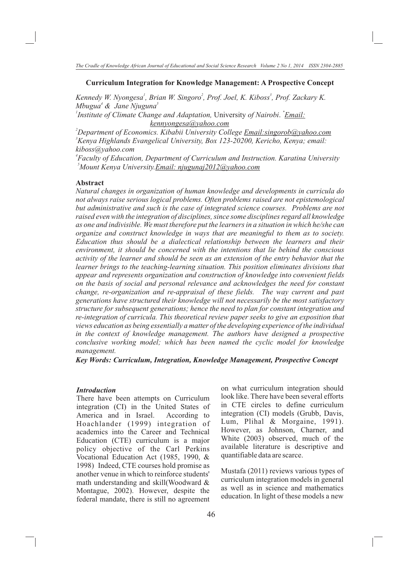#### **Curriculum Integration for Knowledge Management: A Prospective Concept**

*Kennedy W. Nyongesa<sup>1</sup>*, *Brian W. Singoro<sup>2</sup>, Prof. Joel, K. Kiboss<sup>3</sup>, Prof. Zackary K. 4 5 Mbugua & Jane Njuguna*

*1 \* Institute of Climate Change and Adaptation,* University *of Nairobi*. *Email: kennyongesa@yahoo.com*

*<sup>2</sup>Department of Economics. Kibabii University College Email:singorob@yahoo.com <sup>3</sup>Kenya Highlands Evangelical University, Box 123-20200, Kericho, Kenya; email: kiboss@yahoo.com*

*4 Faculty of Education, Department of Curriculum and Instruction. Karatina University 5 Mount Kenya University.Email: njugunaj2012@yahoo.com*

#### **Abstract**

*Natural changes in organization of human knowledge and developments in curricula do not always raise serious logical problems. Often problems raised are not epistemological but administrative and such is the case of integrated science courses. Problems are not raised even with the integration of disciplines, since some disciplines regard all knowledge as one and indivisible. We must therefore put the learners in a situation in which he/she can organize and construct knowledge in ways that are meaningful to them as to society. Education thus should be a dialectical relationship between the learners and their environment, it should be concerned with the intentions that lie behind the conscious activity of the learner and should be seen as an extension of the entry behavior that the learner brings to the teaching-learning situation. This position eliminates divisions that appear and represents organization and construction of knowledge into convenient fields on the basis of social and personal relevance and acknowledges the need for constant change, re-organization and re-appraisal of these fields. The way current and past generations have structured their knowledge will not necessarily be the most satisfactory structure for subsequent generations; hence the need to plan for constant integration and re-integration of curricula. This theoretical review paper seeks to give an exposition that views education as being essentially a matter of the developing experience of the individual in the context of knowledge management. The authors have designed a prospective conclusive working model; which has been named the cyclic model for knowledge management.* 

*Key Words: Curriculum, Integration, Knowledge Management, Prospective Concept* 

#### *Introduction*

There have been attempts on Curriculum integration (CI) in the United States of America and in Israel. According to Hoachlander (1999) integration of academics into the Career and Technical Education (CTE) curriculum is a major policy objective of the Carl Perkins Vocational Education Act (1985, 1990, & 1998) Indeed, CTE courses hold promise as another venue in which to reinforce students' math understanding and skill(Woodward & Montague, 2002). However, despite the federal mandate, there is still no agreement

on what curriculum integration should look like. There have been several efforts in CTE circles to define curriculum integration (CI) models (Grubb, Davis, Lum, Plihal & Morgaine, 1991). However, as Johnson, Charner, and White (2003) observed, much of the available literature is descriptive and quantifiable data are scarce.

Mustafa (2011) reviews various types of curriculum integration models in general as well as in science and mathematics education. In light of these models a new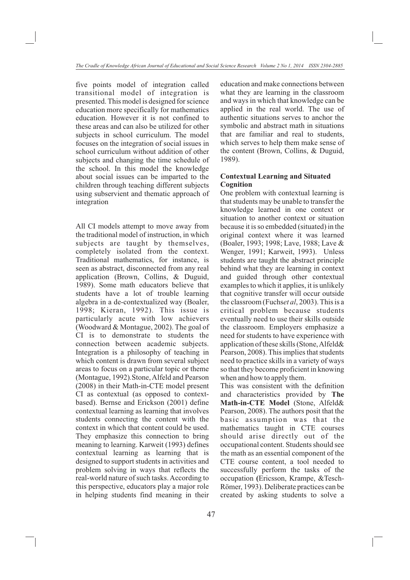five points model of integration called transitional model of integration is presented. This model is designed for science education more specifically for mathematics education. However it is not confined to these areas and can also be utilized for other subjects in school curriculum. The model focuses on the integration of social issues in school curriculum without addition of other subjects and changing the time schedule of the school. In this model the knowledge about social issues can be imparted to the children through teaching different subjects using subservient and thematic approach of integration

All CI models attempt to move away from the traditional model of instruction, in which subjects are taught by themselves, completely isolated from the context. Traditional mathematics, for instance, is seen as abstract, disconnected from any real application (Brown, Collins, & Duguid, 1989). Some math educators believe that students have a lot of trouble learning algebra in a de-contextualized way (Boaler, 1998; Kieran, 1992). This issue is particularly acute with low achievers (Woodward & Montague, 2002). The goal of CI is to demonstrate to students the connection between academic subjects. Integration is a philosophy of teaching in which content is drawn from several subject areas to focus on a particular topic or theme (Montague, 1992)*.*Stone, Alfeld and Pearson (2008) in their Math-in-CTE model present CI as contextual (as opposed to contextbased). Bernse and Erickson (2001) define contextual learning as learning that involves students connecting the content with the context in which that content could be used. They emphasize this connection to bring meaning to learning. Karweit (1993) defines contextual learning as learning that is designed to support students in activities and problem solving in ways that reflects the real-world nature of such tasks. According to this perspective, educators play a major role in helping students find meaning in their

education and make connections between what they are learning in the classroom and ways in which that knowledge can be applied in the real world. The use of authentic situations serves to anchor the symbolic and abstract math in situations that are familiar and real to students, which serves to help them make sense of the content (Brown, Collins, & Duguid, 1989).

# **Contextual Learning and Situated Cognition**

One problem with contextual learning is that students may be unable to transfer the knowledge learned in one context or situation to another context or situation because it is so embedded (situated) in the original context where it was learned (Boaler, 1993; 1998; Lave, 1988; Lave & Wenger, 1991; Karweit, 1993). Unless students are taught the abstract principle behind what they are learning in context and guided through other contextual examples to which it applies, it is unlikely that cognitive transfer will occur outside the classroom (Fuchs*et al*, 2003). This is a critical problem because students eventually need to use their skills outside the classroom. Employers emphasize a need for students to have experience with application of these skills (Stone, Alfeld& Pearson, 2008). This implies that students need to practice skills in a variety of ways so that they become proficient in knowing when and how to apply them.

This was consistent with the definition and characteristics provided by **The Math-in-CTE Model** (Stone, Alfeld& Pearson, 2008). The authors posit that the basic assumption was that the mathematics taught in CTE courses should arise directly out of the occupational content. Students should see the math as an essential component of the CTE course content, a tool needed to successfully perform the tasks of the occupation **(**Ericsson, Krampe, &Tesch-Römer, 1993). Deliberate practices can be created by asking students to solve a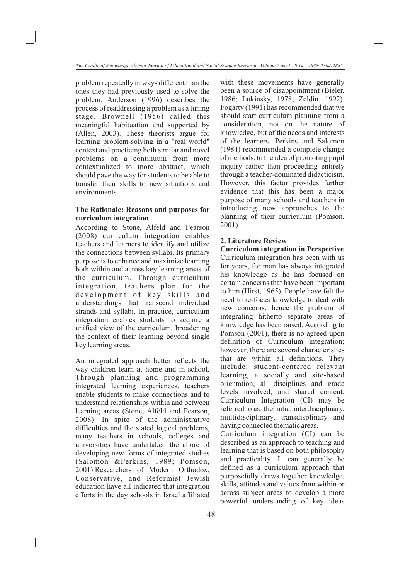problem repeatedly in ways different than the ones they had previously used to solve the problem. Anderson (1996) describes the process of readdressing a problem as a tuning stage. Brownell (1956) called this meaningful habituation and supported by (Allen, 2003). These theorists argue for learning problem-solving in a "real world" context and practicing both similar and novel problems on a continuum from more contextualized to more abstract, which should pave the way for students to be able to transfer their skills to new situations and environments.

# **The Rationale: Reasons and purposes for curriculum integration**

According to Stone, Alfeld and Pearson (2008) curriculum integration enables teachers and learners to identify and utilize the connections between syllabi. Its primary purpose is to enhance and maximize learning both within and across key learning areas of the curriculum. Through curriculum integration, teachers plan for the development of key skills and understandings that transcend individual strands and syllabi. In practice, curriculum integration enables students to acquire a unified view of the curriculum, broadening the context of their learning beyond single key learning areas.

An integrated approach better reflects the way children learn at home and in school. Through planning and programming integrated learning experiences, teachers enable students to make connections and to understand relationships within and between learning areas (Stone, Alfeld and Pearson, 2008). In spite of the administrative difficulties and the stated logical problems, many teachers in schools, colleges and universities have undertaken the chore of developing new forms of integrated studies (Salomon &Perkins, 1989; Pomson, 2001).Researchers of Modern Orthodox, Conservative, and Reformist Jewish education have all indicated that integration efforts in the day schools in Israel affiliated with these movements have generally been a source of disappointment (Bieler, 1986; Lukinsky, 1978; Zeldin, 1992). Fogarty (1991) has recommended that we should start curriculum planning from a consideration, not on the nature of knowledge, but of the needs and interests of the learners. Perkins and Salomon (1984) recommended a complete change of methods, to the idea of promoting pupil inquiry rather than proceeding entirely through a teacher-dominated didacticism. However, this factor provides further evidence that this has been a major purpose of many schools and teachers in introducing new approaches to the planning of their curriculum (Pomson, 2001)

# **2. Literature Review**

**Curriculum integration in Perspective** Curriculum integration has been with us for years, for man has always integrated his knowledge as he has focused on certain concerns that have been important to him (Hirst, 1965). People have felt the need to re-focus knowledge to deal with new concerns; hence the problem of integrating hitherto separate areas of knowledge has been raised. According to Pomson (2001), there is no agreed-upon definition of Curriculum integration; however, there are several characteristics that are within all definitions. They include: student-centered relevant learning, a socially and site-based orientation, all disciplines and grade levels involved, and shared content. Curriculum Integration (CI) may be referred to as: thematic, interdisciplinary, multidisciplinary, transdisplinary and having connected thematic areas.

Curriculum integration (CI) can be described as an approach to teaching and learning that is based on both philosophy and practicality. It can generally be defined as a curriculum approach that purposefully draws together knowledge, skills, attitudes and values from within or across subject areas to develop a more powerful understanding of key ideas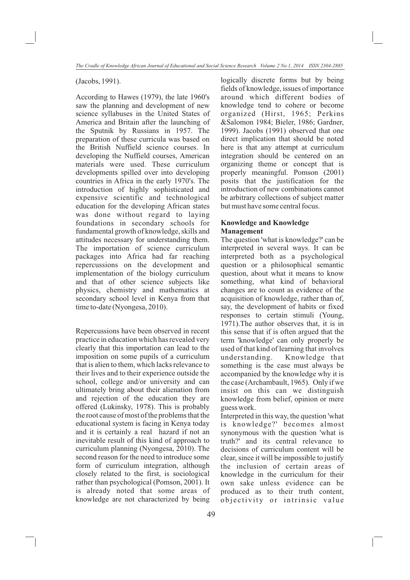(Jacobs, 1991).

According to Hawes (1979), the late 1960's saw the planning and development of new science syllabuses in the United States of America and Britain after the launching of the Sputnik by Russians in 1957. The preparation of these curricula was based on the British Nuffield science courses. In developing the Nuffield courses, American materials were used. These curriculum developments spilled over into developing countries in Africa in the early 1970's. The introduction of highly sophisticated and expensive scientific and technological education for the developing African states was done without regard to laying foundations in secondary schools for fundamental growth of knowledge, skills and attitudes necessary for understanding them. The importation of science curriculum packages into Africa had far reaching repercussions on the development and implementation of the biology curriculum and that of other science subjects like physics, chemistry and mathematics at secondary school level in Kenya from that time to-date (Nyongesa, 2010).

Repercussions have been observed in recent practice in education which has revealed very clearly that this importation can lead to the imposition on some pupils of a curriculum that is alien to them, which lacks relevance to their lives and to their experience outside the school, college and/or university and can ultimately bring about their alienation from and rejection of the education they are offered (Lukinsky, 1978). This is probably the root cause of most of the problems that the educational system is facing in Kenya today and it is certainly a real hazard if not an inevitable result of this kind of approach to curriculum planning (Nyongesa, 2010). The second reason for the need to introduce some form of curriculum integration, although closely related to the first, is sociological rather than psychological (Pomson, 2001). It is already noted that some areas of knowledge are not characterized by being logically discrete forms but by being fields of knowledge, issues of importance around which different bodies of knowledge tend to cohere or become organized (Hirst, 1965; Perkins &Salomon 1984; Bieler, 1986; Gardner, 1999). Jacobs (1991) observed that one direct implication that should be noted here is that any attempt at curriculum integration should be centered on an organizing theme or concept that is properly meaningful. Pomson (2001) posits that the justification for the introduction of new combinations cannot be arbitrary collections of subject matter but must have some central focus.

# **Knowledge and Knowledge Management**

The question 'what is knowledge?' can be interpreted in several ways. It can be interpreted both as a psychological question or a philosophical semantic question, about what it means to know something, what kind of behavioral changes are to count as evidence of the acquisition of knowledge, rather than of, say, the development of habits or fixed responses to certain stimuli (Young, 1971).The author observes that, it is in this sense that if is often argued that the term 'knowledge' can only properly be used of that kind of learning that involves understanding. Knowledge that something is the case must always be accompanied by the knowledge why it is the case (Archambault, 1965). Only if we insist on this can we distinguish knowledge from belief, opinion or mere guess work.

Interpreted in this way, the question 'what is knowledge?' becomes almost synonymous with the question 'what is truth?' and its central relevance to decisions of curriculum content will be clear, since it will be impossible to justify the inclusion of certain areas of knowledge in the curriculum for their own sake unless evidence can be produced as to their truth content, objectivity or intrinsic value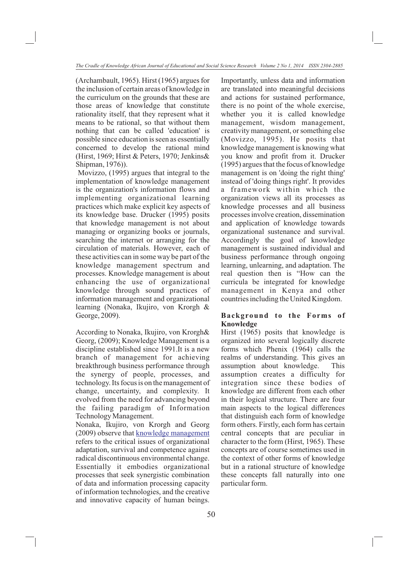(Archambault, 1965). Hirst (1965) argues for the inclusion of certain areas of knowledge in the curriculum on the grounds that these are those areas of knowledge that constitute rationality itself, that they represent what it means to be rational, so that without them nothing that can be called 'education' is possible since education is seen as essentially concerned to develop the rational mind (Hirst, 1969; Hirst & Peters, 1970; Jenkins& Shipman, 1976)).

 Movizzo, (1995) argues that integral to the implementation of knowledge management is the organization's information flows and implementing organizational learning practices which make explicit key aspects of its knowledge base. Drucker (1995) posits that knowledge management is not about managing or organizing books or journals, searching the internet or arranging for the circulation of materials. However, each of these activities can in some way be part of the knowledge management spectrum and processes. Knowledge management is about enhancing the use of organizational knowledge through sound practices of information management and organizational learning (Nonaka, Ikujiro, von Krorgh & George, 2009).

According to Nonaka, Ikujiro, von Krorgh& Georg, (2009); Knowledge Management is a discipline established since 1991.It is a new branch of management for achieving breakthrough business performance through the synergy of people, processes, and technology. Its focus is on the management of change, uncertainty, and complexity. It evolved from the need for advancing beyond the failing paradigm of Information Technology Management.

Nonaka, Ikujiro, von Krorgh and Georg (2009) observe that **knowledge** management refers to the critical issues of organizational adaptation, survival and competence against radical discontinuous environmental change. Essentially it embodies organizational processes that seek synergistic combination of data and information processing capacity of information technologies, and the creative and innovative capacity of human beings.

Importantly, unless data and information are translated into meaningful decisions and actions for sustained performance, there is no point of the whole exercise, whether you it is called knowledge management, wisdom management, creativity management, or something else (Movizzo, 1995). He posits that knowledge management is knowing what you know and profit from it. Drucker (1995) argues that the focus of knowledge management is on 'doing the right thing' instead of 'doing things right'. It provides a framework within which the organization views all its processes as knowledge processes and all business processes involve creation, dissemination and application of knowledge towards organizational sustenance and survival. Accordingly the goal of knowledge management is sustained individual and business performance through ongoing learning, unlearning, and adaptation. The real question then is "How can the curricula be integrated for knowledge management in Kenya and other countries including the United Kingdom.

# **Background to the Forms of Knowledge**

Hirst (1965) posits that knowledge is organized into several logically discrete forms which Phenix (1964) calls the realms of understanding. This gives an assumption about knowledge. This assumption creates a difficulty for integration since these bodies of knowledge are different from each other in their logical structure. There are four main aspects to the logical differences that distinguish each form of knowledge form others. Firstly, each form has certain central concepts that are peculiar in character to the form (Hirst, 1965). These concepts are of course sometimes used in the context of other forms of knowledge but in a rational structure of knowledge these concepts fall naturally into one particular form.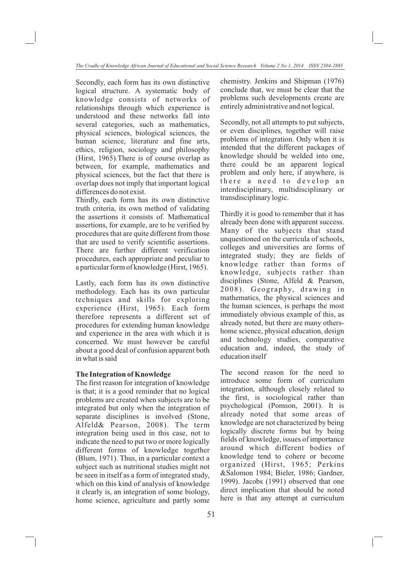Secondly, each form has its own distinctive logical structure. A systematic body of knowledge consists of networks of relationships through which experience is understood and these networks fall into several categories, such as mathematics, physical sciences, biological sciences, the human science, literature and fine arts, ethics, religion, sociology and philosophy (Hirst, 1965).There is of course overlap as between, for example, mathematics and physical sciences, but the fact that there is overlap does not imply that important logical differences do not exist.

Thirdly, each form has its own distinctive truth criteria, its own method of validating the assertions it consists of. Mathematical assertions, for example, are to be verified by procedures that are quite different from those that are used to verify scientific assertions. There are further different verification procedures, each appropriate and peculiar to a particular form of knowledge (Hirst, 1965).

Lastly, each form has its own distinctive methodology. Each has its own particular techniques and skills for exploring experience (Hirst, 1965). Each form therefore represents a different set of procedures for extending human knowledge and experience in the area with which it is concerned. We must however be careful about a good deal of confusion apparent both in what is said

#### **The Integration of Knowledge**

The first reason for integration of knowledge is that; it is a good reminder that no logical problems are created when subjects are to be integrated but only when the integration of separate disciplines is involved (Stone, Alfeld& Pearson, 2008). The term integration being used in this case, not to indicate the need to put two or more logically different forms of knowledge together (Blum, 1971). Thus, in a particular context a subject such as nutritional studies might not be seen in itself as a form of integrated study, which on this kind of analysis of knowledge it clearly is, an integration of some biology, home science, agriculture and partly some

chemistry. Jenkins and Shipman (1976) conclude that, we must be clear that the problems such developments create are entirely administrative and not logical.

Secondly, not all attempts to put subjects, or even disciplines, together will raise problems of integration. Only when it is intended that the different packages of knowledge should be welded into one, there could be an apparent logical problem and only here, if anywhere, is there a need to develop an interdisciplinary, multidisciplinary or transdisciplinary logic.

Thirdly it is good to remember that it has already been done with apparent success. Many of the subjects that stand unquestioned on the curricula of schools, colleges and universities are forms of integrated study; they are fields of knowledge rather than forms of knowledge, subjects rather than disciplines (Stone, Alfeld & Pearson, 2008). Geography, drawing in mathematics, the physical sciences and the human sciences, is perhaps the most immediately obvious example of this, as already noted, but there are many othershome science, physical education, design and technology studies, comparative education and, indeed, the study of education itself

The second reason for the need to introduce some form of curriculum integration, although closely related to the first, is sociological rather than psychological (Pomson, 2001). It is already noted that some areas of knowledge are not characterized by being logically discrete forms but by being fields of knowledge, issues of importance around which different bodies of knowledge tend to cohere or become organized (Hirst, 1965; Perkins &Salomon 1984; Bieler, 1986; Gardner, 1999). Jacobs (1991) observed that one direct implication that should be noted here is that any attempt at curriculum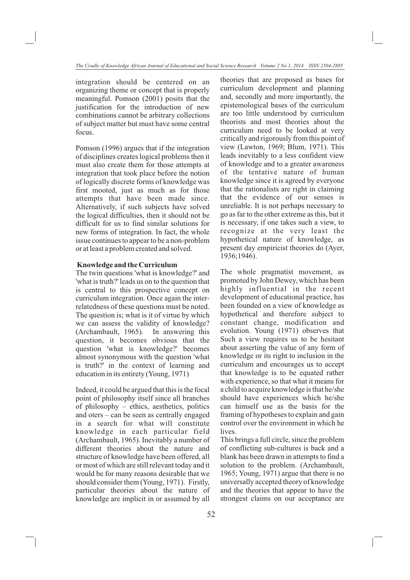integration should be centered on an organizing theme or concept that is properly meaningful. Pomson (2001) posits that the justification for the introduction of new combinations cannot be arbitrary collections of subject matter but must have some central focus.

Pomson (1996) argues that if the integration of disciplines creates logical problems then it must also create them for those attempts at integration that took place before the notion of logically discrete forms of knowledge was first mooted, just as much as for those attempts that have been made since. Alternatively, if such subjects have solved the logical difficulties, then it should not be difficult for us to find similar solutions for new forms of integration. In fact, the whole issue continues to appear to be a non-problem or at least a problem created and solved.

#### **Knowledge and the Curriculum**

The twin questions 'what is knowledge?' and 'what is truth?' leads us on to the question that is central to this prospective concept on curriculum integration. Once again the interrelatedness of these questions must be noted. The question is; what is it of virtue by which we can assess the validity of knowledge? (Archambault, 1965). In answering this question, it becomes obvious that the question 'what is knowledge?' becomes almost synonymous with the question 'what is truth?' in the context of learning and education in its entirety (Young, 1971)

Indeed, it could be argued that this is the focal point of philosophy itself since all branches of philosophy – ethics, aesthetics, politics and oters – can be seen as centrally engaged in a search for what will constitute knowledge in each particular field (Archambault, 1965). Inevitably a number of different theories about the nature and structure of knowledge have been offered, all or most of which are still relevant today and it would be for many reasons desirable that we should consider them (Young, 1971). Firstly, particular theories about the nature of knowledge are implicit in or assumed by all theories that are proposed as bases for curriculum development and planning and, secondly and more importantly, the epistemological bases of the curriculum are too little understood by curriculum theorists and most theories about the curriculum need to be looked at very critically and rigorously from this point of view (Lawton, 1969; Blum, 1971). This leads inevitably to a less confident view of knowledge and to a greater awareness of the tentative nature of human knowledge since it is agreed by everyone that the rationalists are right in claiming that the evidence of our senses is unreliable. It is not perhaps necessary to go as far to the other extreme as this, but it is necessary, if one takes such a view, to recognize at the very least the hypothetical nature of knowledge, as present day empiricist theories do (Ayer, 1936;1946).

The whole pragmatist movement, as promoted by John Dewey, which has been highly influential in the recent development of educational practice, has been founded on a view of knowledge as hypothetical and therefore subject to constant change, modification and evolution. Young (1971) observes that Such a view requires us to be hesitant about asserting the value of any form of knowledge or its right to inclusion in the curriculum and encourages us to accept that knowledge is to be equated rather with experience, so that what it means for a child to acquire knowledge is that he/she should have experiences which he/she can himself use as the basis for the framing of hypotheses to explain and gain control over the environment in which he lives.

This brings a full circle, since the problem of conflicting sub-cultures is back and a blank has been drawn in attempts to find a solution to the problem. (Archambault, 1965; Young, 1971) argue that there is no universally accepted theory of knowledge and the theories that appear to have the strongest claims on our acceptance are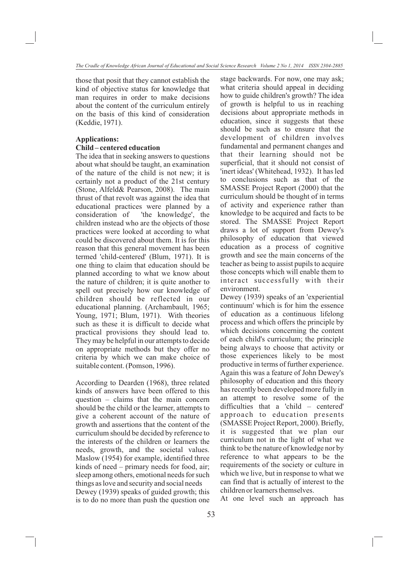those that posit that they cannot establish the kind of objective status for knowledge that man requires in order to make decisions about the content of the curriculum entirely on the basis of this kind of consideration (Keddie, 1971).

#### **Applications:**

### **Child – centered education**

The idea that in seeking answers to questions about what should be taught, an examination of the nature of the child is not new; it is certainly not a product of the 21st century (Stone, Alfeld& Pearson, 2008). The main thrust of that revolt was against the idea that educational practices were planned by a consideration of 'the knowledge', the children instead who are the objects of those practices were looked at according to what could be discovered about them. It is for this reason that this general movement has been termed 'child-centered' (Blum, 1971). It is one thing to claim that education should be planned according to what we know about the nature of children; it is quite another to spell out precisely how our knowledge of children should be reflected in our educational planning. (Archambault, 1965; Young, 1971; Blum, 1971). With theories such as these it is difficult to decide what practical provisions they should lead to. They may be helpful in our attempts to decide on appropriate methods but they offer no criteria by which we can make choice of suitable content. (Pomson, 1996).

According to Dearden (1968), three related kinds of answers have been offered to this question – claims that the main concern should be the child or the learner, attempts to give a coherent account of the nature of growth and assertions that the content of the curriculum should be decided by reference to the interests of the children or learners the needs, growth, and the societal values. Maslow (1954) for example, identified three kinds of need – primary needs for food, air; sleep among others, emotional needs for such things as love and security and social needs Dewey (1939) speaks of guided growth; this is to do no more than push the question one stage backwards. For now, one may ask; what criteria should appeal in deciding how to guide children's growth? The idea of growth is helpful to us in reaching decisions about appropriate methods in education, since it suggests that these should be such as to ensure that the development of children involves fundamental and permanent changes and that their learning should not be superficial, that it should not consist of 'inert ideas' (Whitehead, 1932). It has led to conclusions such as that of the SMASSE Project Report (2000) that the curriculum should be thought of in terms of activity and experience rather than knowledge to be acquired and facts to be stored. The SMASSE Project Report draws a lot of support from Dewey's philosophy of education that viewed education as a process of cognitive growth and see the main concerns of the teacher as being to assist pupils to acquire those concepts which will enable them to interact successfully with their environment.

Dewey (1939) speaks of an 'experiential continuum' which is for him the essence of education as a continuous lifelong process and which offers the principle by which decisions concerning the content of each child's curriculum; the principle being always to choose that activity or those experiences likely to be most productive in terms of further experience. Again this was a feature of John Dewey's philosophy of education and this theory has recently been developed more fully in an attempt to resolve some of the difficulties that a 'child – centered' approach to education presents (SMASSE Project Report, 2000). Briefly, it is suggested that we plan our curriculum not in the light of what we think to be the nature of knowledge nor by reference to what appears to be the requirements of the society or culture in which we live, but in response to what we can find that is actually of interest to the children or learners themselves.

At one level such an approach has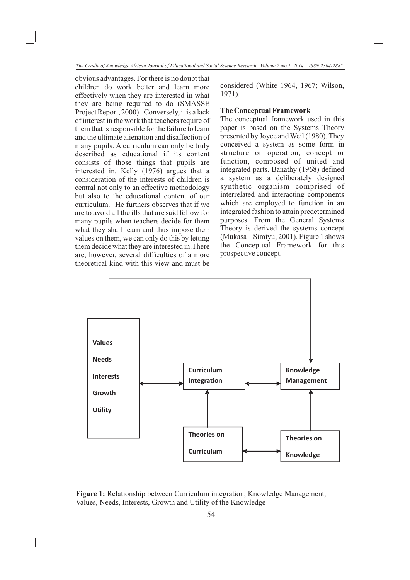obvious advantages. For there is no doubt that children do work better and learn more effectively when they are interested in what they are being required to do (SMASSE Project Report, 2000). Conversely, it is a lack of interest in the work that teachers require of them that is responsible for the failure to learn and the ultimate alienation and disaffection of many pupils. A curriculum can only be truly described as educational if its content consists of those things that pupils are interested in. Kelly (1976) argues that a consideration of the interests of children is central not only to an effective methodology but also to the educational content of our curriculum. He furthers observes that if we are to avoid all the ills that are said follow for many pupils when teachers decide for them what they shall learn and thus impose their values on them, we can only do this by letting them decide what they are interested in.There are, however, several difficulties of a more theoretical kind with this view and must be

considered (White 1964, 1967; Wilson, 1971).

# **The Conceptual Framework**

The conceptual framework used in this paper is based on the Systems Theory presented by Joyce and Weil (1980). They conceived a system as some form in structure or operation, concept or function, composed of united and integrated parts. Banathy (1968) defined a system as a deliberately designed synthetic organism comprised of interrelated and interacting components which are employed to function in an integrated fashion to attain predetermined purposes. From the General Systems Theory is derived the systems concept (Mukasa – Simiyu, 2001). Figure 1 shows the Conceptual Framework for this prospective concept.



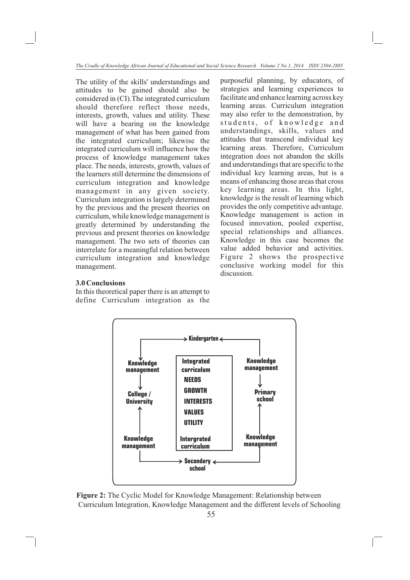The utility of the skills' understandings and attitudes to be gained should also be considered in (CI).The integrated curriculum should therefore reflect those needs, interests, growth, values and utility. These will have a bearing on the knowledge management of what has been gained from the integrated curriculum; likewise the integrated curriculum will influence how the process of knowledge management takes place. The needs, interests, growth, values of the learners still determine the dimensions of curriculum integration and knowledge management in any given society. Curriculum integration is largely determined by the previous and the present theories on curriculum, while knowledge management is greatly determined by understanding the previous and present theories on knowledge management. The two sets of theories can interrelate for a meaningful relation between curriculum integration and knowledge management.

purposeful planning, by educators, of strategies and learning experiences to facilitate and enhance learning across key learning areas. Curriculum integration may also refer to the demonstration, by students, of knowledge and understandings, skills, values and attitudes that transcend individual key learning areas. Therefore, Curriculum integration does not abandon the skills and understandings that are specific to the individual key learning areas, but is a means of enhancing those areas that cross key learning areas. In this light, knowledge is the result of learning which provides the only competitive advantage. Knowledge management is action in focused innovation, pooled expertise, special relationships and alliances. Knowledge in this case becomes the value added behavior and activities. Figure 2 shows the prospective conclusive working model for this discussion.

# **3.0 Conclusions**

In this theoretical paper there is an attempt to define Curriculum integration as the



**Figure 2:** The Cyclic Model for Knowledge Management: Relationship between Curriculum Integration, Knowledge Management and the different levels of Schooling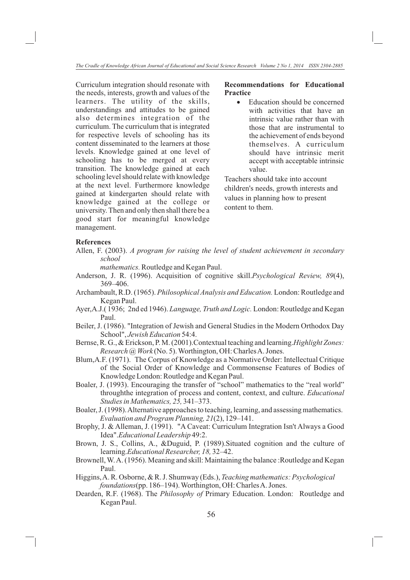Curriculum integration should resonate with the needs, interests, growth and values of the learners. The utility of the skills, understandings and attitudes to be gained also determines integration of the curriculum. The curriculum that is integrated for respective levels of schooling has its content disseminated to the learners at those levels. Knowledge gained at one level of schooling has to be merged at every transition. The knowledge gained at each schooling level should relate with knowledge at the next level. Furthermore knowledge gained at kindergarten should relate with knowledge gained at the college or university. Then and only then shall there be a good start for meaningful knowledge management.

# **Recommendations for Educational Practice**<br>• Education should be concerned

with activities that have an intrinsic value rather than with those that are instrumental to the achievement of ends beyond themselves. A curriculum should have intrinsic merit accept with acceptable intrinsic value.

Teachers should take into account children's needs, growth interests and values in planning how to present content to them.

#### **References**

Allen, F. (2003). *A program for raising the level of student achievement in secondary school*

*mathematics.* Routledge and Kegan Paul.

- Anderson, J. R. (1996). Acquisition of cognitive skill.*Psychological Review, 89*(4), 369–406.
- Archambault, R.D. (1965). *Philosophical Analysis and Education.* London: Routledge and Kegan Paul.
- Ayer,A.J.( 1936; 2nd ed 1946). *Language, Truth and Logic.* London: Routledge and Kegan Paul.
- Beiler, J. (1986). "Integration of Jewish and General Studies in the Modern Orthodox Day School", *Jewish Education* 54:4.
- Bernse, R. G., & Erickson, P. M. (2001).Contextual teaching and learning.*Highlight Zones: Research @ Work* (No. 5). Worthington, OH: Charles A. Jones.
- Blum,A.F. (1971). The Corpus of Knowledge as a Normative Order: Intellectual Critique of the Social Order of Knowledge and Commonsense Features of Bodies of Knowledge London: Routledge and Kegan Paul.
- Boaler, J. (1993). Encouraging the transfer of "school" mathematics to the "real world" throughthe integration of process and content, context, and culture. *Educational Studies in Mathematics, 25,* 341–373.
- Boaler, J. (1998). Alternative approaches to teaching, learning, and assessing mathematics. *Evaluation and Program Planning, 21*(2), 129–141.
- Brophy, J. & Alleman, J. (1991). "A Caveat: Curriculum Integration Isn't Always a Good Idea".*Educational Leadership* 49:2.
- Brown, J. S., Collins, A., &Duguid, P. (1989).Situated cognition and the culture of learning.*Educational Researcher, 18,* 32–42.
- Brownell, W. A. (1956). Meaning and skill: Maintaining the balance : Routledge and Kegan Paul.
- Higgins, A. R. Osborne, & R. J. Shumway (Eds.), *Teaching mathematics: Psychological foundations*(pp. 186–194). Worthington, OH: Charles A. Jones.
- Dearden, R.F. (1968). The *Philosophy of* Primary Education. London: Routledge and Kegan Paul.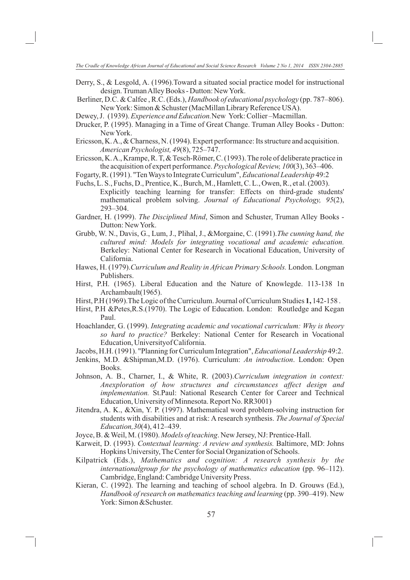- Derry, S., & Lesgold, A. (1996).Toward a situated social practice model for instructional design. Truman Alley Books - Dutton: New York.
- Berliner, D.C. & Calfee , R.C. (Eds.), *Handbook of educational psychology* (pp. 787–806). New York: Simon & Schuster (MacMillan Library Reference USA).
- Dewey, J. (1939). *Experience and Education.*New York: Collier –Macmillan.
- Drucker, P. (1995). Managing in a Time of Great Change. Truman Alley Books Dutton: New York.
- Ericsson, K. A., & Charness, N. (1994). Expert performance: Its structure and acquisition. *American Psychologist, 49*(8), 725–747.
- Ericsson, K. A., Krampe, R. T, & Tesch-Römer, C. (1993). The role of deliberate practice in the acquisition of expert performance. *Psychological Review, 100*(3), 363–406.
- Fogarty, R. (1991). "Ten Ways to Integrate Curriculum", *Educational Leadership* 49:2
- Fuchs, L. S., Fuchs, D., Prentice, K., Burch, M., Hamlett, C. L., Owen, R., et al. (2003). Explicitly teaching learning for transfer: Effects on third-grade students' mathematical problem solving. *Journal of Educational Psychology, 95*(2), 293–304.
- Gardner, H. (1999). *The Disciplined Mind*, Simon and Schuster, Truman Alley Books Dutton: New York.
- Grubb, W. N., Davis, G., Lum, J., Plihal, J., &Morgaine, C. (1991).*The cunning hand, the cultured mind: Models for integrating vocational and academic education.*  Berkeley: National Center for Research in Vocational Education, University of California.
- Hawes, H. (1979).*Curriculum and Reality in African Primary Schools.* London. Longman Publishers.
- Hirst, P.H. (1965). Liberal Education and the Nature of Knowlegde. 113-138 1n Archambault(1965).
- Hirst, P.H (1969).The Logic of the Curriculum. Journal of Curriculum Studies **1,** 142-158 .
- Hirst, P.H &Petes,R.S.(1970). The Logic of Education. London: Routledge and Kegan Paul.
- Hoachlander, G. (1999). *Integrating academic and vocational curriculum: Why is theory so hard to practice?* Berkeley: National Center for Research in Vocational Education, Universityof California.
- Jacobs, H.H. (1991). "Planning for Curriculum Integration", *Educational Leadership* 49:2.
- Jenkins, M.D. &Shipman,M.D. (1976). Curriculum: *An introduction*. London: Open Books.
- Johnson, A. B., Charner, I., & White, R. (2003).*Curriculum integration in context: Anexploration of how structures and circumstances affect design and implementation.* St.Paul: National Research Center for Career and Technical Education, University of Minnesota. Report No. RR3001)
- Jitendra, A. K., &Xin, Y. P. (1997). Mathematical word problem-solving instruction for students with disabilities and at risk: A research synthesis. *The Journal of Special Education,30*(4), 412–439.
- Joyce, B. & Weil, M. (1980). *Models of teaching*. New Jersey, NJ: Prentice-Hall.
- Karweit, D. (1993). *Contextual learning: A review and synthesis.* Baltimore, MD: Johns Hopkins University, The Center for Social Organization of Schools.
- Kilpatrick (Eds.), *Mathematics and cognition: A research synthesis by the internationalgroup for the psychology of mathematics education* (pp. 96–112). Cambridge, England: Cambridge University Press.
- Kieran, C. (1992). The learning and teaching of school algebra. In D. Grouws (Ed.), *Handbook of research on mathematics teaching and learning (pp. 390–419).* New York: Simon &Schuster.